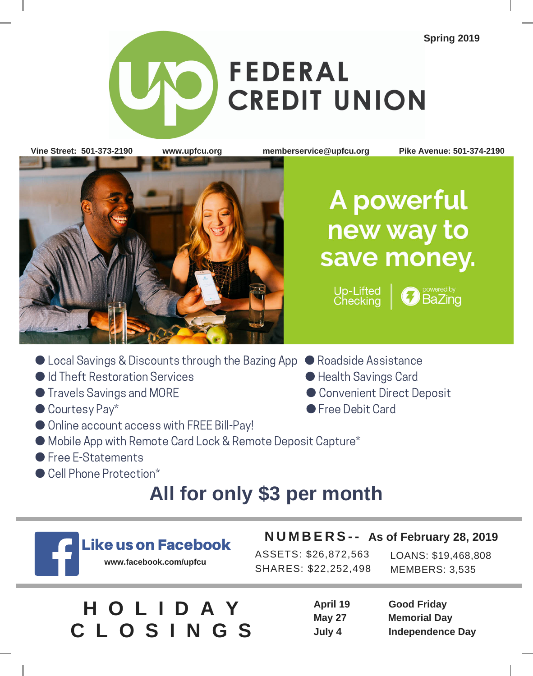**Spring 2019**

# **FEDERAL CREDIT UNION**

**Vine Street: 501-373-2190 www.upfcu.org memberservice@upfcu.org Pike Avenue: 501-374-2190**



## A powerful new way to save money.

Up-Lifted **BaZing** 

- Local Savings & Discounts through the Bazing App Roadside Assistance
- Id Theft Restoration Services ● Health Savings Card
- Travels Savings and MORE 2012 2022 Convenient Direct Deposit
- Courtesy Pay\* 
Courtesy Pay\* 
Courtesy Pay\* 
Courtesy Pay\* 
Courtesy Pay\* 
Courtesy Pay\* 
Courtesy Pay\* 
Courtesy Pay\* 
Courtesy Pay\* 
Courtesy Pay\* 
Courtesy Pay\* 
Courtesy Pay\* 
Courtesy Pay\*
- Online account access with FREE Bill-Pay!
- Mobile App with Remote Card Lock & Remote Deposit Capture\*
- Free E-Statements
- Cell Phone Protection\*

### **All for only \$3 per month**



### Like us on Facebook

**www.facebook.com/upfcu**

ASSETS: \$26,872,563 SHARES: \$22,252,498

LOANS: \$19,468,808 MEMBERS: 3,535

|  | HOLIDAY         |  |  |  |
|--|-----------------|--|--|--|
|  | <b>CLOSINGS</b> |  |  |  |

| April 19      | <b>Good Friday</b>      |
|---------------|-------------------------|
| <b>May 27</b> | <b>Memorial Day</b>     |
| July 4        | <b>Independence Day</b> |

**N U M B E R S - - As of February 28, 2019**